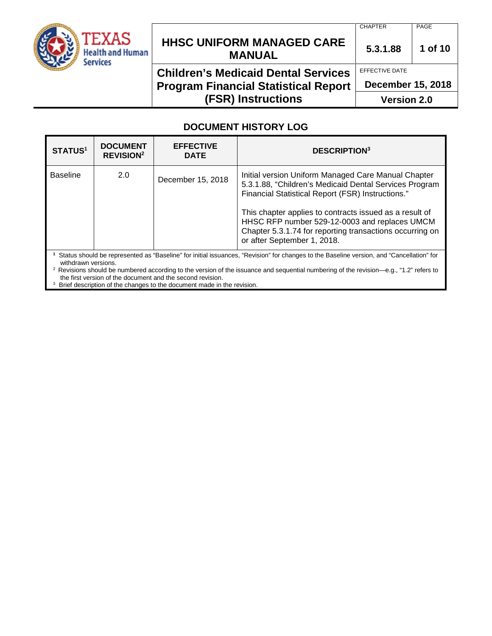

# **HHSC UNIFORM MANAGED CARE MANUAL 5.3.1.88 <sup>1</sup> of 10**

## **Children's Medicaid Dental Services Program Financial Statistical Report (FSR) Instructions**

CHAPTER PAGE

EFFECTIVE DATE

**December 15, 2018**

**Version 2.0**

### **DOCUMENT HISTORY LOG**

| <b>STATUS1</b>                                                                                                                          | <b>DOCUMENT</b><br><b>REVISION<sup>2</sup></b> | <b>EFFECTIVE</b><br><b>DATE</b> | <b>DESCRIPTION3</b>                                                                                                                                                                                                                                                                                                                                                       |
|-----------------------------------------------------------------------------------------------------------------------------------------|------------------------------------------------|---------------------------------|---------------------------------------------------------------------------------------------------------------------------------------------------------------------------------------------------------------------------------------------------------------------------------------------------------------------------------------------------------------------------|
| <b>Baseline</b>                                                                                                                         | 2.0                                            | December 15, 2018               | Initial version Uniform Managed Care Manual Chapter<br>5.3.1.88, "Children's Medicaid Dental Services Program<br>Financial Statistical Report (FSR) Instructions."<br>This chapter applies to contracts issued as a result of<br>HHSC RFP number 529-12-0003 and replaces UMCM<br>Chapter 5.3.1.74 for reporting transactions occurring on<br>or after September 1, 2018. |
| Status should be represented as "Baseline" for initial issuances "Pevision" for changes to the Baseline version, and "Cancellation" for |                                                |                                 |                                                                                                                                                                                                                                                                                                                                                                           |

atus should be represented as "Baseline" for initial issuances, "Revision" for changes to the Baseline version, and "Cancel withdrawn versions.

2 Revisions should be numbered according to the version of the issuance and sequential numbering of the revision—e.g., "1.2" refers to the first version of the document and the second revision.

<sup>3</sup> Brief description of the changes to the document made in the revision.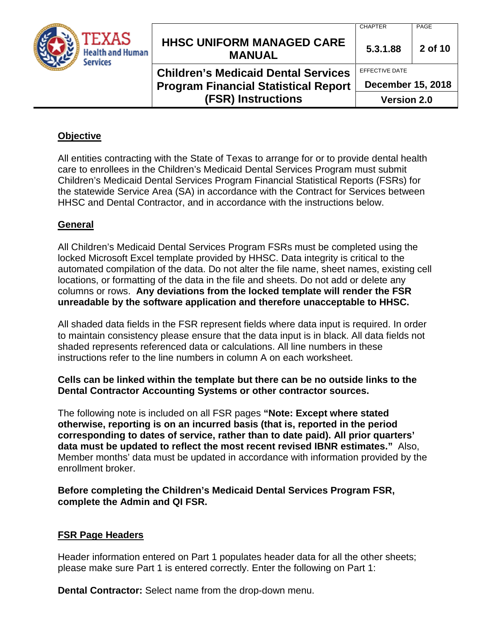|                                              |                                                   | <b>CHAPTER</b>     | PAGE                     |  |
|----------------------------------------------|---------------------------------------------------|--------------------|--------------------------|--|
| TEXAS<br><b>Health and Human</b><br>Services | <b>HHSC UNIFORM MANAGED CARE</b><br><b>MANUAL</b> | 5.3.1.88           | 2 of 10                  |  |
|                                              | <b>Children's Medicaid Dental Services</b>        | EFFECTIVE DATE     |                          |  |
|                                              | <b>Program Financial Statistical Report</b>       |                    | <b>December 15, 2018</b> |  |
|                                              | <b>(FSR) Instructions</b>                         | <b>Version 2.0</b> |                          |  |

### **Objective**

All entities contracting with the State of Texas to arrange for or to provide dental health care to enrollees in the Children's Medicaid Dental Services Program must submit Children's Medicaid Dental Services Program Financial Statistical Reports (FSRs) for the statewide Service Area (SA) in accordance with the Contract for Services between HHSC and Dental Contractor, and in accordance with the instructions below.

#### **General**

All Children's Medicaid Dental Services Program FSRs must be completed using the locked Microsoft Excel template provided by HHSC. Data integrity is critical to the automated compilation of the data. Do not alter the file name, sheet names, existing cell locations, or formatting of the data in the file and sheets. Do not add or delete any columns or rows. **Any deviations from the locked template will render the FSR unreadable by the software application and therefore unacceptable to HHSC.**

All shaded data fields in the FSR represent fields where data input is required. In order to maintain consistency please ensure that the data input is in black. All data fields not shaded represents referenced data or calculations. All line numbers in these instructions refer to the line numbers in column A on each worksheet.

#### **Cells can be linked within the template but there can be no outside links to the Dental Contractor Accounting Systems or other contractor sources.**

The following note is included on all FSR pages **"Note: Except where stated otherwise, reporting is on an incurred basis (that is, reported in the period corresponding to dates of service, rather than to date paid). All prior quarters' data must be updated to reflect the most recent revised IBNR estimates."** Also, Member months' data must be updated in accordance with information provided by the enrollment broker.

**Before completing the Children's Medicaid Dental Services Program FSR, complete the Admin and QI FSR.** 

#### **FSR Page Headers**

Header information entered on Part 1 populates header data for all the other sheets; please make sure Part 1 is entered correctly. Enter the following on Part 1:

**Dental Contractor:** Select name from the drop-down menu.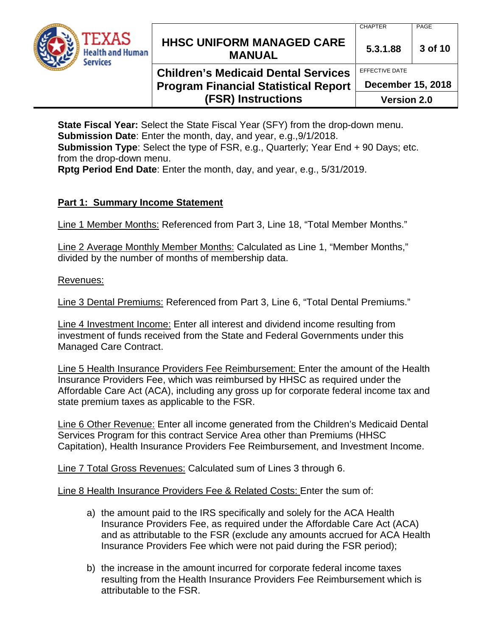

EFFECTIVE DATE

**December 15, 2018**

**Program Financial Statistical Report (FSR) Instructions**

**Version 2.0**

**State Fiscal Year:** Select the State Fiscal Year (SFY) from the drop-down menu. **Submission Date**: Enter the month, day, and year, e.g.,9/1/2018. **Submission Type**: Select the type of FSR, e.g., Quarterly; Year End + 90 Days; etc. from the drop-down menu.

**Rptg Period End Date**: Enter the month, day, and year, e.g., 5/31/2019.

### **Part 1: Summary Income Statement**

Line 1 Member Months: Referenced from Part 3, Line 18, "Total Member Months."

Line 2 Average Monthly Member Months: Calculated as Line 1, "Member Months," divided by the number of months of membership data.

### Revenues:

Line 3 Dental Premiums: Referenced from Part 3, Line 6, "Total Dental Premiums."

Line 4 Investment Income: Enter all interest and dividend income resulting from investment of funds received from the State and Federal Governments under this Managed Care Contract.

Line 5 Health Insurance Providers Fee Reimbursement: Enter the amount of the Health Insurance Providers Fee, which was reimbursed by HHSC as required under the Affordable Care Act (ACA), including any gross up for corporate federal income tax and state premium taxes as applicable to the FSR.

Line 6 Other Revenue: Enter all income generated from the Children's Medicaid Dental Services Program for this contract Service Area other than Premiums (HHSC Capitation), Health Insurance Providers Fee Reimbursement, and Investment Income.

Line 7 Total Gross Revenues: Calculated sum of Lines 3 through 6.

Line 8 Health Insurance Providers Fee & Related Costs: Enter the sum of:

- a) the amount paid to the IRS specifically and solely for the ACA Health Insurance Providers Fee, as required under the Affordable Care Act (ACA) and as attributable to the FSR (exclude any amounts accrued for ACA Health Insurance Providers Fee which were not paid during the FSR period);
- b) the increase in the amount incurred for corporate federal income taxes resulting from the Health Insurance Providers Fee Reimbursement which is attributable to the FSR.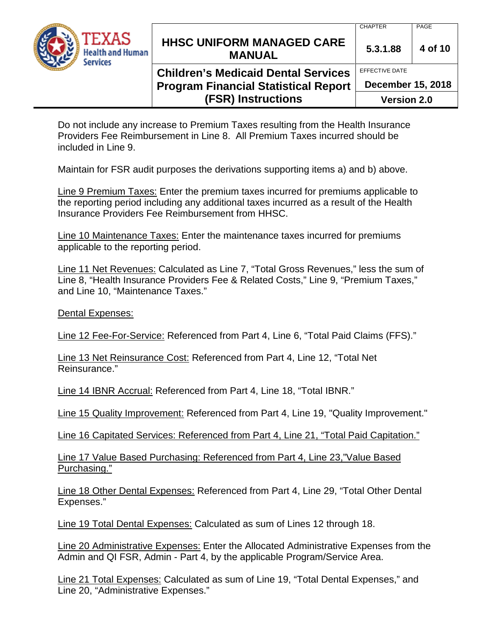

# **HHSC UNIFORM MANAGED CARE MANUAL** 5.3.1.88 4 of 10

# **Children's Medicaid Dental Services Program Financial Statistical Report (FSR) Instructions**

EFFECTIVE DATE **December 15, 2018**

**Version 2.0**

Do not include any increase to Premium Taxes resulting from the Health Insurance Providers Fee Reimbursement in Line 8. All Premium Taxes incurred should be included in Line 9.

Maintain for FSR audit purposes the derivations supporting items a) and b) above.

Line 9 Premium Taxes: Enter the premium taxes incurred for premiums applicable to the reporting period including any additional taxes incurred as a result of the Health Insurance Providers Fee Reimbursement from HHSC.

Line 10 Maintenance Taxes: Enter the maintenance taxes incurred for premiums applicable to the reporting period.

Line 11 Net Revenues: Calculated as Line 7, "Total Gross Revenues," less the sum of Line 8, "Health Insurance Providers Fee & Related Costs," Line 9, "Premium Taxes," and Line 10, "Maintenance Taxes."

Dental Expenses:

Line 12 Fee-For-Service: Referenced from Part 4, Line 6, "Total Paid Claims (FFS)."

Line 13 Net Reinsurance Cost: Referenced from Part 4, Line 12, "Total Net Reinsurance."

Line 14 IBNR Accrual: Referenced from Part 4, Line 18, "Total IBNR."

Line 15 Quality Improvement: Referenced from Part 4, Line 19, "Quality Improvement."

Line 16 Capitated Services: Referenced from Part 4, Line 21, "Total Paid Capitation."

Line 17 Value Based Purchasing: Referenced from Part 4, Line 23,"Value Based Purchasing."

Line 18 Other Dental Expenses: Referenced from Part 4, Line 29, "Total Other Dental Expenses."

Line 19 Total Dental Expenses: Calculated as sum of Lines 12 through 18.

Line 20 Administrative Expenses: Enter the Allocated Administrative Expenses from the Admin and QI FSR, Admin - Part 4, by the applicable Program/Service Area.

Line 21 Total Expenses: Calculated as sum of Line 19, "Total Dental Expenses," and Line 20, "Administrative Expenses."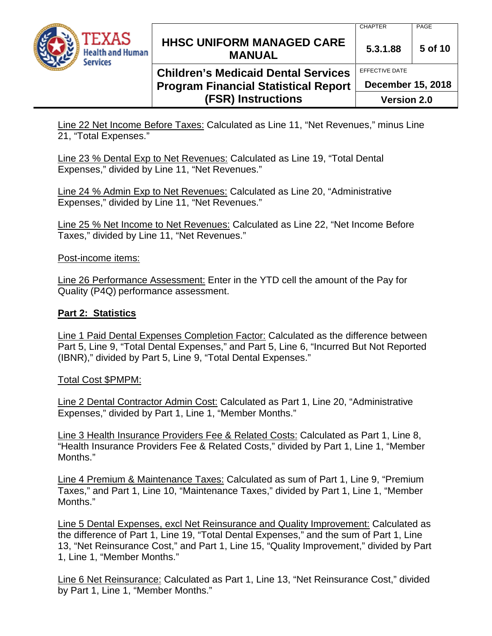

**Children's Medicaid Dental Services Program Financial Statistical Report (FSR) Instructions**

EFFECTIVE DATE **December 15, 2018 Version 2.0**

Line 22 Net Income Before Taxes: Calculated as Line 11, "Net Revenues," minus Line 21, "Total Expenses."

Line 23 % Dental Exp to Net Revenues: Calculated as Line 19, "Total Dental Expenses," divided by Line 11, "Net Revenues."

Line 24 % Admin Exp to Net Revenues: Calculated as Line 20, "Administrative Expenses," divided by Line 11, "Net Revenues."

Line 25 % Net Income to Net Revenues: Calculated as Line 22, "Net Income Before Taxes," divided by Line 11, "Net Revenues."

Post-income items:

Line 26 Performance Assessment: Enter in the YTD cell the amount of the Pay for Quality (P4Q) performance assessment.

### **Part 2: Statistics**

Line 1 Paid Dental Expenses Completion Factor: Calculated as the difference between Part 5, Line 9, "Total Dental Expenses," and Part 5, Line 6, "Incurred But Not Reported (IBNR)," divided by Part 5, Line 9, "Total Dental Expenses."

#### Total Cost \$PMPM:

Line 2 Dental Contractor Admin Cost: Calculated as Part 1, Line 20, "Administrative Expenses," divided by Part 1, Line 1, "Member Months."

Line 3 Health Insurance Providers Fee & Related Costs: Calculated as Part 1, Line 8, "Health Insurance Providers Fee & Related Costs," divided by Part 1, Line 1, "Member Months."

Line 4 Premium & Maintenance Taxes: Calculated as sum of Part 1, Line 9, "Premium Taxes," and Part 1, Line 10, "Maintenance Taxes," divided by Part 1, Line 1, "Member Months."

Line 5 Dental Expenses, excl Net Reinsurance and Quality Improvement: Calculated as the difference of Part 1, Line 19, "Total Dental Expenses," and the sum of Part 1, Line 13, "Net Reinsurance Cost," and Part 1, Line 15, "Quality Improvement," divided by Part 1, Line 1, "Member Months."

Line 6 Net Reinsurance: Calculated as Part 1, Line 13, "Net Reinsurance Cost," divided by Part 1, Line 1, "Member Months."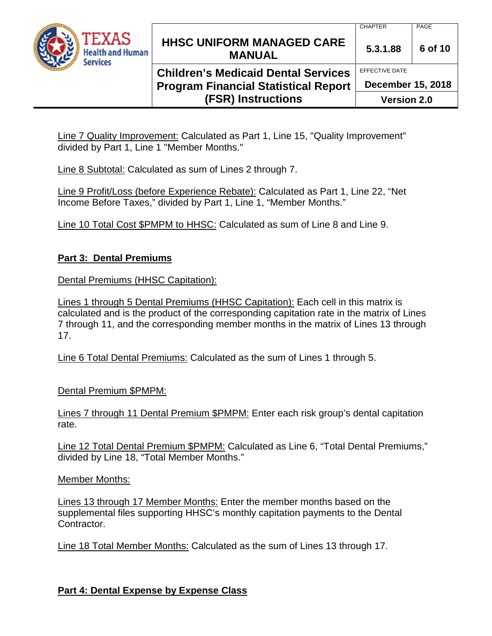

# **Children's Medicaid Dental Services Program Financial Statistical Report (FSR) Instructions**

EFFECTIVE DATE **December 15, 2018**

**Version 2.0**

Line 7 Quality Improvement: Calculated as Part 1, Line 15, "Quality Improvement" divided by Part 1, Line 1 "Member Months."

Line 8 Subtotal: Calculated as sum of Lines 2 through 7.

Line 9 Profit/Loss (before Experience Rebate): Calculated as Part 1, Line 22, "Net Income Before Taxes," divided by Part 1, Line 1, "Member Months."

Line 10 Total Cost \$PMPM to HHSC: Calculated as sum of Line 8 and Line 9.

### **Part 3: Dental Premiums**

Dental Premiums (HHSC Capitation):

Lines 1 through 5 Dental Premiums (HHSC Capitation): Each cell in this matrix is calculated and is the product of the corresponding capitation rate in the matrix of Lines 7 through 11, and the corresponding member months in the matrix of Lines 13 through 17.

Line 6 Total Dental Premiums: Calculated as the sum of Lines 1 through 5.

Dental Premium \$PMPM:

Lines 7 through 11 Dental Premium \$PMPM: Enter each risk group's dental capitation rate.

Line 12 Total Dental Premium \$PMPM: Calculated as Line 6, "Total Dental Premiums," divided by Line 18, "Total Member Months."

#### Member Months:

Lines 13 through 17 Member Months: Enter the member months based on the supplemental files supporting HHSC's monthly capitation payments to the Dental Contractor.

Line 18 Total Member Months: Calculated as the sum of Lines 13 through 17.

### **Part 4: Dental Expense by Expense Class**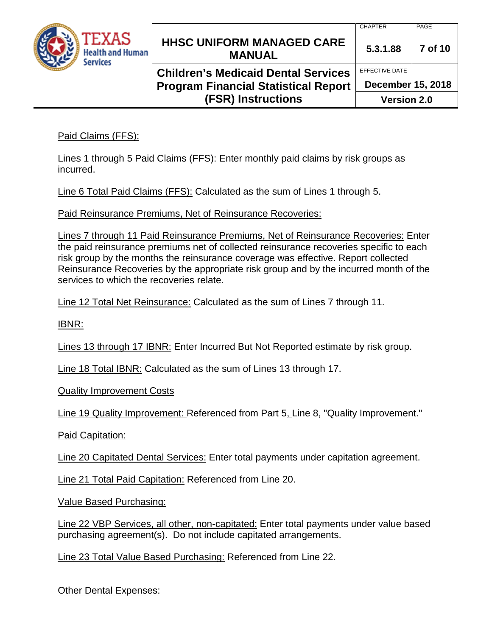

# **HHSC UNIFORM MANAGED CARE MANUAL 5.3.1.88 <sup>7</sup> of 10**

# **Children's Medicaid Dental Services Program Financial Statistical Report (FSR) Instructions**

EFFECTIVE DATE **December 15, 2018**

**Version 2.0**

Paid Claims (FFS):

Lines 1 through 5 Paid Claims (FFS): Enter monthly paid claims by risk groups as incurred.

Line 6 Total Paid Claims (FFS): Calculated as the sum of Lines 1 through 5.

Paid Reinsurance Premiums, Net of Reinsurance Recoveries:

Lines 7 through 11 Paid Reinsurance Premiums, Net of Reinsurance Recoveries: Enter the paid reinsurance premiums net of collected reinsurance recoveries specific to each risk group by the months the reinsurance coverage was effective. Report collected Reinsurance Recoveries by the appropriate risk group and by the incurred month of the services to which the recoveries relate.

Line 12 Total Net Reinsurance: Calculated as the sum of Lines 7 through 11.

IBNR:

Lines 13 through 17 IBNR: Enter Incurred But Not Reported estimate by risk group.

Line 18 Total IBNR: Calculated as the sum of Lines 13 through 17.

Quality Improvement Costs

Line 19 Quality Improvement: Referenced from Part 5, Line 8, "Quality Improvement."

Paid Capitation:

Line 20 Capitated Dental Services: Enter total payments under capitation agreement.

Line 21 Total Paid Capitation: Referenced from Line 20.

Value Based Purchasing:

Line 22 VBP Services, all other, non-capitated: Enter total payments under value based purchasing agreement(s). Do not include capitated arrangements.

Line 23 Total Value Based Purchasing: Referenced from Line 22.

Other Dental Expenses: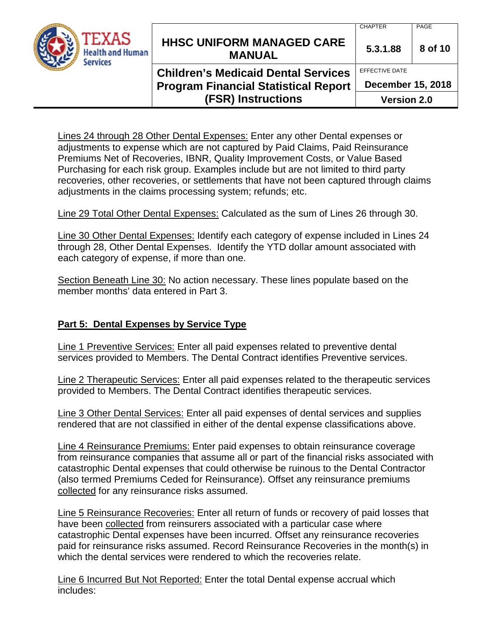

# **HHSC UNIFORM MANAGED CARE MANUAL 5.3.1.88 <sup>8</sup> of 10**

## **Children's Medicaid Dental Services Program Financial Statistical Report (FSR) Instructions**

CHAPTER PAGE

EFFECTIVE DATE

**December 15, 2018**

**Version 2.0**

Lines 24 through 28 Other Dental Expenses: Enter any other Dental expenses or adjustments to expense which are not captured by Paid Claims, Paid Reinsurance Premiums Net of Recoveries, IBNR, Quality Improvement Costs, or Value Based Purchasing for each risk group. Examples include but are not limited to third party recoveries, other recoveries, or settlements that have not been captured through claims adjustments in the claims processing system; refunds; etc.

Line 29 Total Other Dental Expenses: Calculated as the sum of Lines 26 through 30.

Line 30 Other Dental Expenses: Identify each category of expense included in Lines 24 through 28, Other Dental Expenses. Identify the YTD dollar amount associated with each category of expense, if more than one.

Section Beneath Line 30: No action necessary. These lines populate based on the member months' data entered in Part 3.

### **Part 5: Dental Expenses by Service Type**

Line 1 Preventive Services: Enter all paid expenses related to preventive dental services provided to Members. The Dental Contract identifies Preventive services.

Line 2 Therapeutic Services: Enter all paid expenses related to the therapeutic services provided to Members. The Dental Contract identifies therapeutic services.

Line 3 Other Dental Services: Enter all paid expenses of dental services and supplies rendered that are not classified in either of the dental expense classifications above.

Line 4 Reinsurance Premiums: Enter paid expenses to obtain reinsurance coverage from reinsurance companies that assume all or part of the financial risks associated with catastrophic Dental expenses that could otherwise be ruinous to the Dental Contractor (also termed Premiums Ceded for Reinsurance). Offset any reinsurance premiums collected for any reinsurance risks assumed.

Line 5 Reinsurance Recoveries: Enter all return of funds or recovery of paid losses that have been collected from reinsurers associated with a particular case where catastrophic Dental expenses have been incurred. Offset any reinsurance recoveries paid for reinsurance risks assumed. Record Reinsurance Recoveries in the month(s) in which the dental services were rendered to which the recoveries relate.

Line 6 Incurred But Not Reported: Enter the total Dental expense accrual which includes: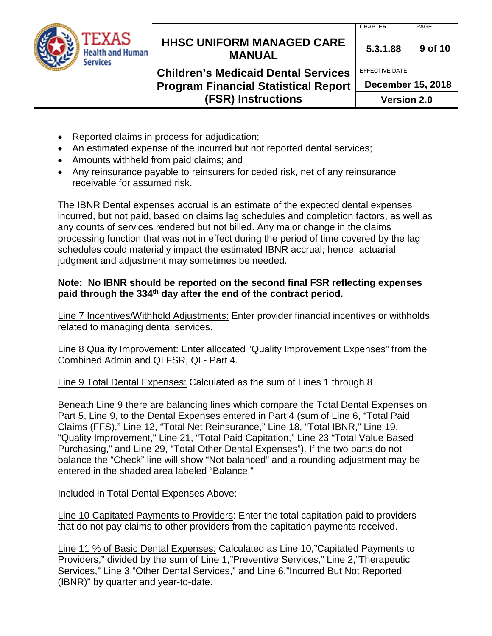| <b>TEXAS</b><br><b>Health and Human</b><br><b>Services</b> | <b>HHSC UNIFORM MANAGED CARE</b><br><b>MANUAL</b>                                                                      | <b>CHAPTER</b><br>5.3.1.88                                       | PAGE<br>9 of 10 |
|------------------------------------------------------------|------------------------------------------------------------------------------------------------------------------------|------------------------------------------------------------------|-----------------|
|                                                            | <b>Children's Medicaid Dental Services</b><br><b>Program Financial Statistical Report</b><br><b>(FSR) Instructions</b> | EFFECTIVE DATE<br><b>December 15, 2018</b><br><b>Version 2.0</b> |                 |

- Reported claims in process for adjudication;
- An estimated expense of the incurred but not reported dental services;
- Amounts withheld from paid claims; and
- Any reinsurance payable to reinsurers for ceded risk, net of any reinsurance receivable for assumed risk.

The IBNR Dental expenses accrual is an estimate of the expected dental expenses incurred, but not paid, based on claims lag schedules and completion factors, as well as any counts of services rendered but not billed. Any major change in the claims processing function that was not in effect during the period of time covered by the lag schedules could materially impact the estimated IBNR accrual; hence, actuarial judgment and adjustment may sometimes be needed.

### **Note: No IBNR should be reported on the second final FSR reflecting expenses paid through the 334th day after the end of the contract period.**

Line 7 Incentives/Withhold Adjustments: Enter provider financial incentives or withholds related to managing dental services.

Line 8 Quality Improvement: Enter allocated "Quality Improvement Expenses" from the Combined Admin and QI FSR, QI - Part 4.

Line 9 Total Dental Expenses: Calculated as the sum of Lines 1 through 8

Beneath Line 9 there are balancing lines which compare the Total Dental Expenses on Part 5, Line 9, to the Dental Expenses entered in Part 4 (sum of Line 6, "Total Paid Claims (FFS)," Line 12, "Total Net Reinsurance," Line 18, "Total IBNR," Line 19, "Quality Improvement," Line 21, "Total Paid Capitation," Line 23 "Total Value Based Purchasing," and Line 29, "Total Other Dental Expenses"). If the two parts do not balance the "Check" line will show "Not balanced" and a rounding adjustment may be entered in the shaded area labeled "Balance."

Included in Total Dental Expenses Above:

Line 10 Capitated Payments to Providers: Enter the total capitation paid to providers that do not pay claims to other providers from the capitation payments received.

Line 11 % of Basic Dental Expenses: Calculated as Line 10,"Capitated Payments to Providers," divided by the sum of Line 1,"Preventive Services," Line 2,"Therapeutic Services," Line 3,"Other Dental Services," and Line 6,"Incurred But Not Reported (IBNR)" by quarter and year-to-date.